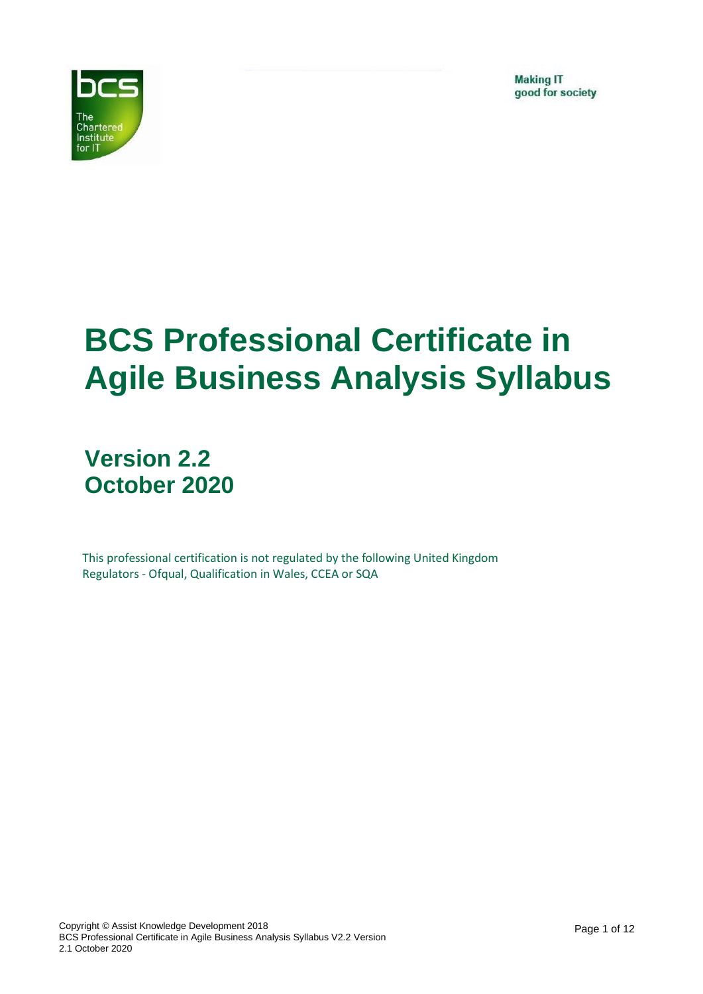**Making IT** good for society



# **BCS Professional Certificate in Agile Business Analysis Syllabus**

# **Version 2.2 October 2020**

This professional certification is not regulated by the following United Kingdom Regulators - Ofqual, Qualification in Wales, CCEA or SQA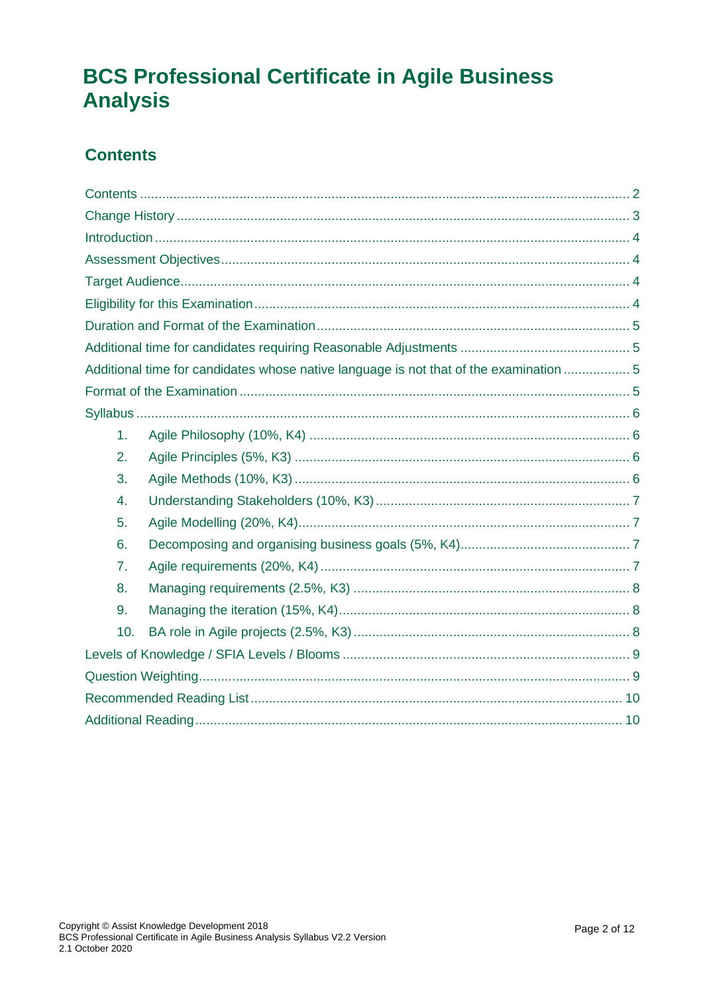# **BCS Professional Certificate in Agile Business Analysis**

### **Contents**

| Additional time for candidates whose native language is not that of the examination 5 |  |  |
|---------------------------------------------------------------------------------------|--|--|
|                                                                                       |  |  |
|                                                                                       |  |  |
| 1.                                                                                    |  |  |
| 2.                                                                                    |  |  |
| 3.                                                                                    |  |  |
| 4.                                                                                    |  |  |
| 5.                                                                                    |  |  |
| 6.                                                                                    |  |  |
| 7.                                                                                    |  |  |
| 8.                                                                                    |  |  |
| 9.                                                                                    |  |  |
| 10.                                                                                   |  |  |
|                                                                                       |  |  |
|                                                                                       |  |  |
|                                                                                       |  |  |
|                                                                                       |  |  |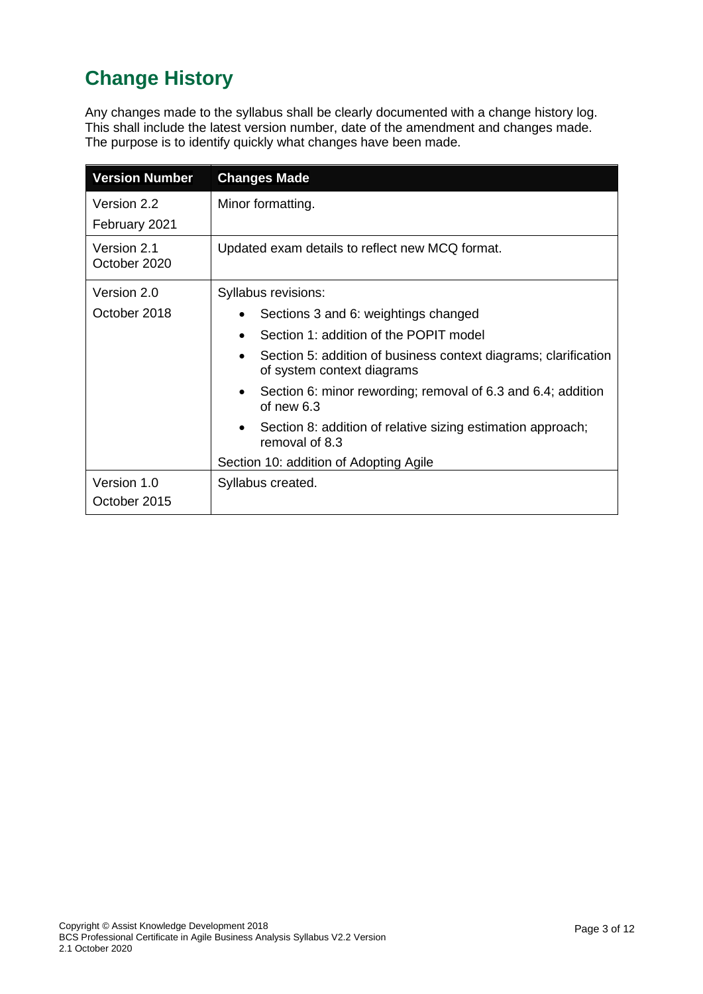# **Change History**

Any changes made to the syllabus shall be clearly documented with a change history log. This shall include the latest version number, date of the amendment and changes made. The purpose is to identify quickly what changes have been made.

| <b>Version Number</b>        | <b>Changes Made</b>                                                                           |
|------------------------------|-----------------------------------------------------------------------------------------------|
| Version 2.2<br>February 2021 | Minor formatting.                                                                             |
| Version 2.1<br>October 2020  | Updated exam details to reflect new MCQ format.                                               |
| Version 2.0                  | Syllabus revisions:                                                                           |
| October 2018                 | Sections 3 and 6: weightings changed                                                          |
|                              | Section 1: addition of the POPIT model                                                        |
|                              | Section 5: addition of business context diagrams; clarification<br>of system context diagrams |
|                              | Section 6: minor rewording; removal of 6.3 and 6.4; addition<br>of new $6.3$                  |
|                              | Section 8: addition of relative sizing estimation approach;<br>$\bullet$<br>removal of 8.3    |
|                              | Section 10: addition of Adopting Agile                                                        |
| Version 1.0<br>October 2015  | Syllabus created.                                                                             |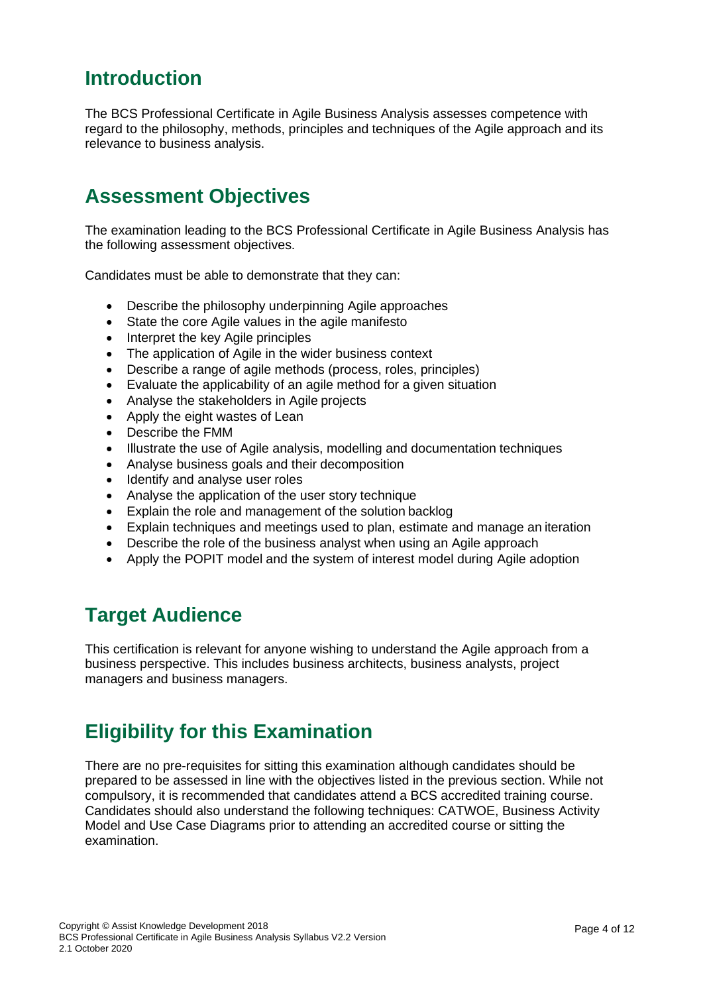### **Introduction**

The BCS Professional Certificate in Agile Business Analysis assesses competence with regard to the philosophy, methods, principles and techniques of the Agile approach and its relevance to business analysis.

### **Assessment Objectives**

The examination leading to the BCS Professional Certificate in Agile Business Analysis has the following assessment objectives.

Candidates must be able to demonstrate that they can:

- Describe the philosophy underpinning Agile approaches
- State the core Agile values in the agile manifesto
- Interpret the key Agile principles
- The application of Agile in the wider business context
- Describe a range of agile methods (process, roles, principles)
- Evaluate the applicability of an agile method for a given situation
- Analyse the stakeholders in Agile projects
- Apply the eight wastes of Lean
- Describe the FMM
- Illustrate the use of Agile analysis, modelling and documentation techniques
- Analyse business goals and their decomposition
- Identify and analyse user roles
- Analyse the application of the user story technique
- Explain the role and management of the solution backlog
- Explain techniques and meetings used to plan, estimate and manage an iteration
- Describe the role of the business analyst when using an Agile approach
- Apply the POPIT model and the system of interest model during Agile adoption

### **Target Audience**

This certification is relevant for anyone wishing to understand the Agile approach from a business perspective. This includes business architects, business analysts, project managers and business managers.

### **Eligibility for this Examination**

There are no pre-requisites for sitting this examination although candidates should be prepared to be assessed in line with the objectives listed in the previous section. While not compulsory, it is recommended that candidates attend a BCS accredited training course. Candidates should also understand the following techniques: CATWOE, Business Activity Model and Use Case Diagrams prior to attending an accredited course or sitting the examination.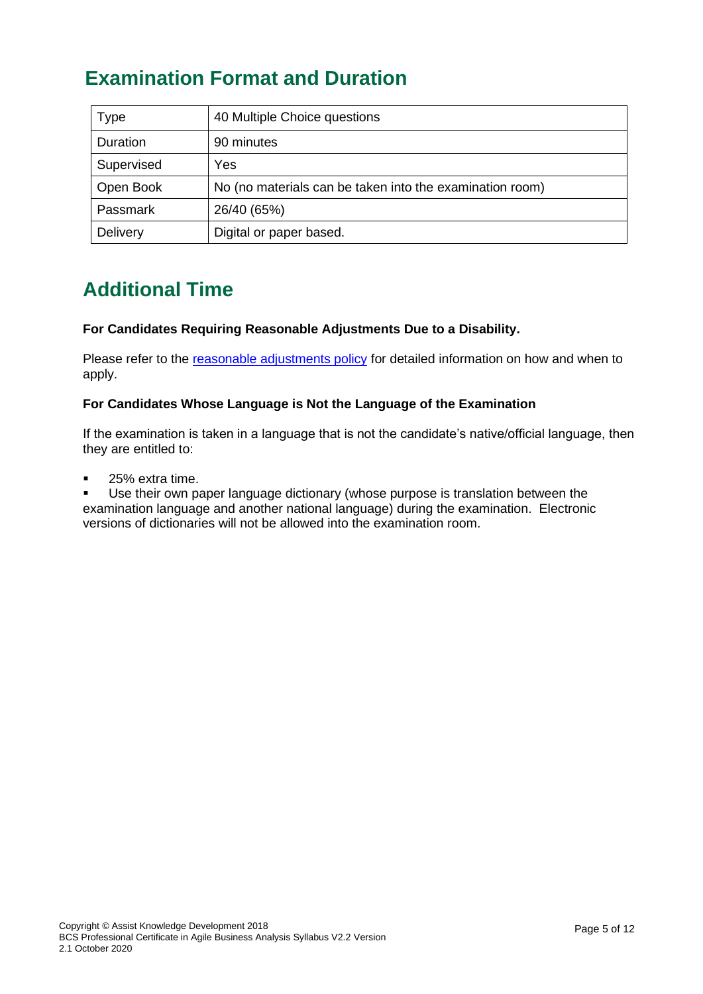# **Examination Format and Duration**

| <b>Type</b> | 40 Multiple Choice questions                             |
|-------------|----------------------------------------------------------|
| Duration    | 90 minutes                                               |
| Supervised  | Yes                                                      |
| Open Book   | No (no materials can be taken into the examination room) |
| Passmark    | 26/40 (65%)                                              |
| Delivery    | Digital or paper based.                                  |

## **Additional Time**

#### **For Candidates Requiring Reasonable Adjustments Due to a Disability.**

Please refer to the [reasonable adjustments policy](https://certifications.bcs.org/upload/pdf/reasonable-adjustments-policy_1.pdf) for detailed information on how and when to apply.

#### **For Candidates Whose Language is Not the Language of the Examination**

If the examination is taken in a language that is not the candidate's native/official language, then they are entitled to:

25% extra time.

Use their own paper language dictionary (whose purpose is translation between the examination language and another national language) during the examination. Electronic versions of dictionaries will not be allowed into the examination room.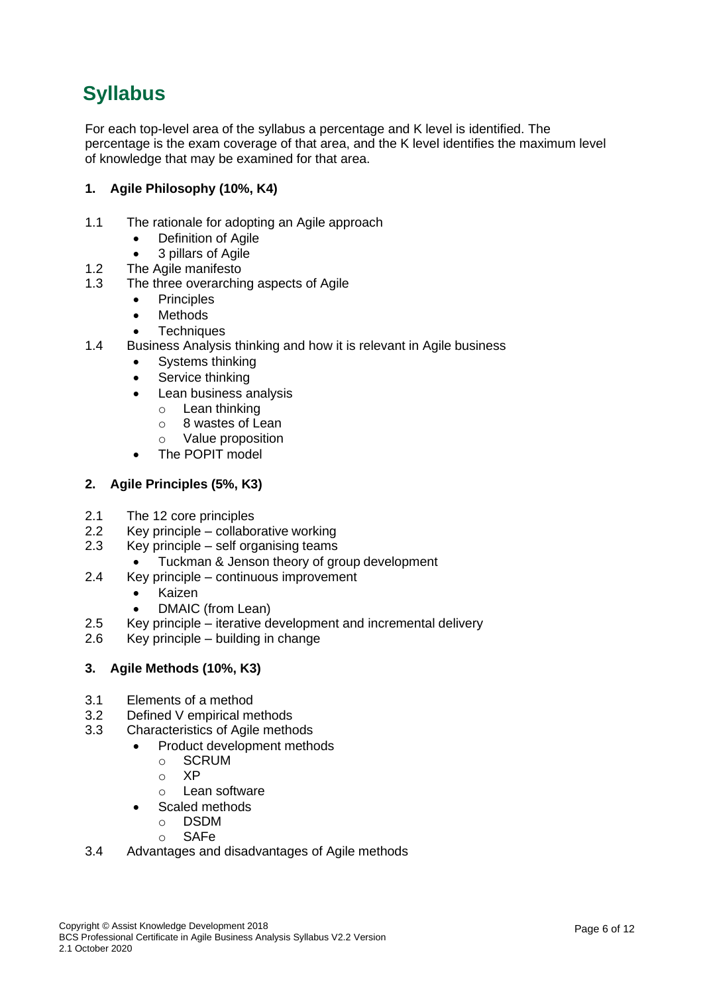# **Syllabus**

For each top-level area of the syllabus a percentage and K level is identified. The percentage is the exam coverage of that area, and the K level identifies the maximum level of knowledge that may be examined for that area.

#### **1. Agile Philosophy (10%, K4)**

- 1.1 The rationale for adopting an Agile approach
	- Definition of Agile
	- 3 pillars of Agile
- 1.2 The Agile manifesto
- 1.3 The three overarching aspects of Agile
	- Principles
	- **Methods**
	- **Techniques**
- 1.4 Business Analysis thinking and how it is relevant in Agile business
	- Systems thinking
	- Service thinking
	- Lean business analysis
		- o Lean thinking
		- o 8 wastes of Lean
		- o Value proposition
	- The POPIT model

#### **2. Agile Principles (5%, K3)**

- 2.1 The 12 core principles
- 2.2 Key principle collaborative working
- 2.3 Key principle self organising teams
	- Tuckman & Jenson theory of group development
- 2.4 Key principle continuous improvement
	- Kaizen
	- DMAIC (from Lean)
- 2.5 Key principle iterative development and incremental delivery
- 2.6 Key principle building in change

#### **3. Agile Methods (10%, K3)**

- 3.1 Elements of a method
- 3.2 Defined V empirical methods
- 3.3 Characteristics of Agile methods
	- Product development methods
		- o SCRUM
		- o XP
		- o Lean software
		- Scaled methods
		- o DSDM
			- o SAFe
- 3.4 Advantages and disadvantages of Agile methods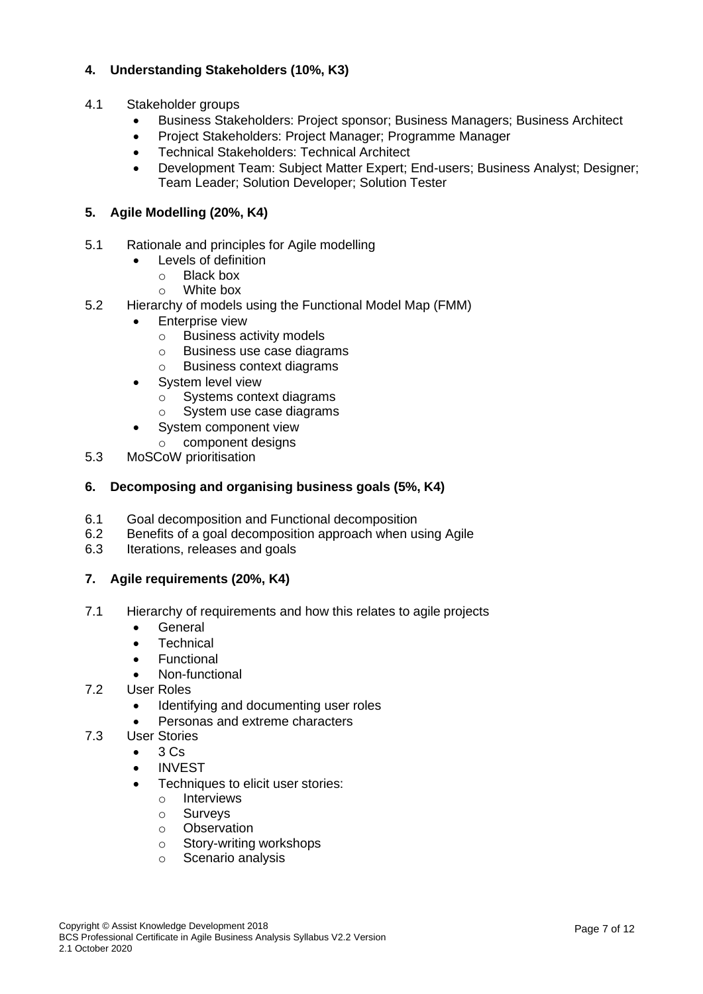#### **4. Understanding Stakeholders (10%, K3)**

- 4.1 Stakeholder groups
	- Business Stakeholders: Project sponsor; Business Managers; Business Architect
	- Project Stakeholders: Project Manager; Programme Manager
	- Technical Stakeholders: Technical Architect
	- Development Team: Subject Matter Expert; End-users; Business Analyst; Designer; Team Leader; Solution Developer; Solution Tester

#### **5. Agile Modelling (20%, K4)**

- 5.1 Rationale and principles for Agile modelling
	- Levels of definition
		- o Black box
		- o White box
- 5.2 Hierarchy of models using the Functional Model Map (FMM)
	- **Enterprise view** 
		- o Business activity models
		- o Business use case diagrams
		- o Business context diagrams
	- System level view
		- o Systems context diagrams
		- o System use case diagrams
		- System component view
			- component designs
- 5.3 MoSCoW prioritisation

#### **6. Decomposing and organising business goals (5%, K4)**

- 6.1 Goal decomposition and Functional decomposition
- 6.2 Benefits of a goal decomposition approach when using Agile
- 6.3 Iterations, releases and goals

#### **7. Agile requirements (20%, K4)**

- 7.1 Hierarchy of requirements and how this relates to agile projects
	- General
	- **Technical**
	- **Functional**
	- Non-functional
- 7.2 User Roles
	- Identifying and documenting user roles
	- Personas and extreme characters
- 7.3 User Stories
	- 3 Cs
	- **INVEST**
	- Techniques to elicit user stories:
		- o Interviews
		- o Surveys
		- o Observation
		- o Story-writing workshops
		- o Scenario analysis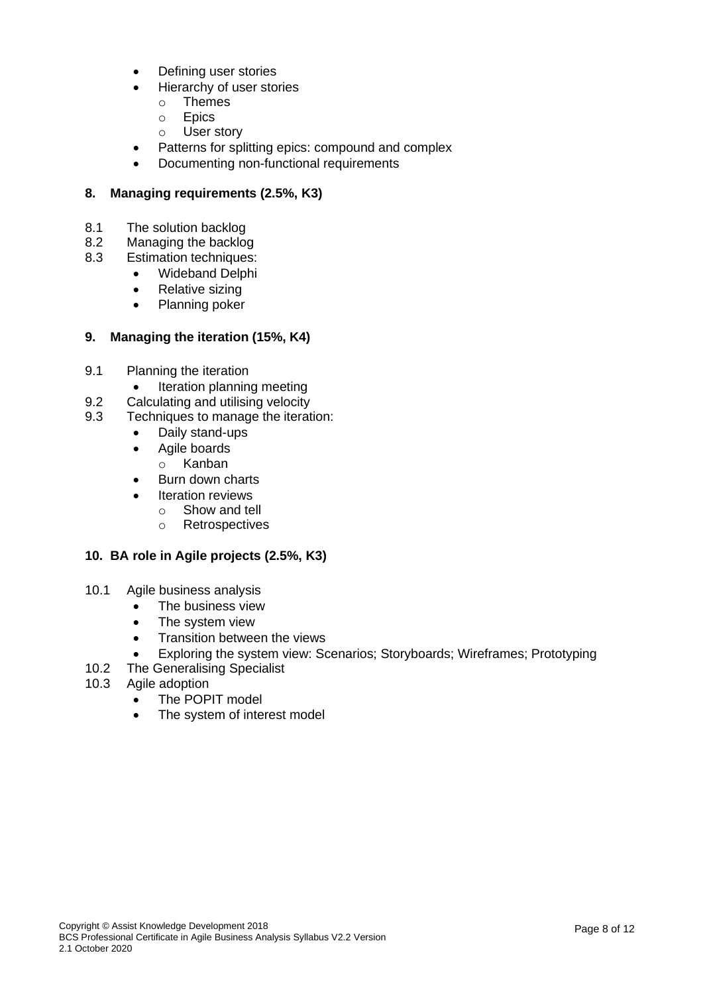- Defining user stories
- Hierarchy of user stories
	- o Themes
	- o Epics
	- o User story
- Patterns for splitting epics: compound and complex
- Documenting non-functional requirements

#### **8. Managing requirements (2.5%, K3)**

- 8.1 The solution backlog
- 8.2 Managing the backlog<br>8.3 Estimation techniques
- **Estimation techniques:** 
	- Wideband Delphi
	- Relative sizing
	- Planning poker

#### **9. Managing the iteration (15%, K4)**

- 9.1 Planning the iteration
	- Iteration planning meeting
- 9.2 Calculating and utilising velocity
- 9.3 Techniques to manage the iteration:
	- Daily stand-ups
	- Agile boards
		- o Kanban
	- Burn down charts
	- **Iteration reviews** 
		- o Show and tell
		- o Retrospectives

#### **10. BA role in Agile projects (2.5%, K3)**

- 10.1 Agile business analysis
	- The business view
	- The system view
	- Transition between the views
	- Exploring the system view: Scenarios; Storyboards; Wireframes; Prototyping
- 10.2 The Generalising Specialist
- 10.3 Agile adoption
	- The POPIT model
	- The system of interest model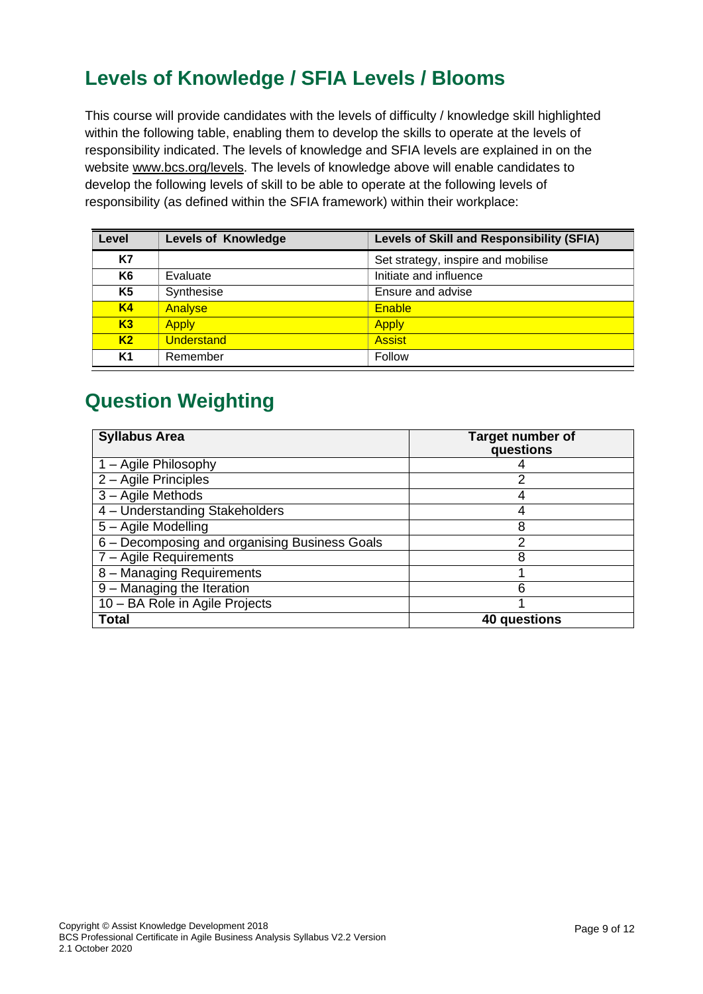# **Levels of Knowledge / SFIA Levels / Blooms**

This course will provide candidates with the levels of difficulty / knowledge skill highlighted within the following table, enabling them to develop the skills to operate at the levels of responsibility indicated. The levels of knowledge and SFIA levels are explained in on the website [www.bcs.org/levels.](http://www.bcs.org/levels) The levels of knowledge above will enable candidates to develop the following levels of skill to be able to operate at the following levels of responsibility (as defined within the SFIA framework) within their workplace:

| Level          | <b>Levels of Knowledge</b> | <b>Levels of Skill and Responsibility (SFIA)</b> |
|----------------|----------------------------|--------------------------------------------------|
| K7             |                            | Set strategy, inspire and mobilise               |
| K6             | Evaluate                   | Initiate and influence                           |
| K <sub>5</sub> | Synthesise                 | Ensure and advise                                |
| K <sub>4</sub> | Analyse                    | <b>Enable</b>                                    |
| K3             | <b>Apply</b>               | <b>Apply</b>                                     |
| K <sub>2</sub> | <b>Understand</b>          | <b>Assist</b>                                    |
| K <sub>1</sub> | Remember                   | Follow                                           |

# **Question Weighting**

| <b>Syllabus Area</b>                          | <b>Target number of</b><br>questions |
|-----------------------------------------------|--------------------------------------|
| 1 - Agile Philosophy                          |                                      |
| 2 - Agile Principles                          | າ                                    |
| 3 - Agile Methods                             |                                      |
| 4 - Understanding Stakeholders                |                                      |
| 5 - Agile Modelling                           | 8                                    |
| 6 - Decomposing and organising Business Goals | າ                                    |
| 7 - Agile Requirements                        | 8                                    |
| 8 - Managing Requirements                     |                                      |
| 9 - Managing the Iteration                    | 6                                    |
| 10 - BA Role in Agile Projects                |                                      |
| <b>Total</b>                                  | 40 questions                         |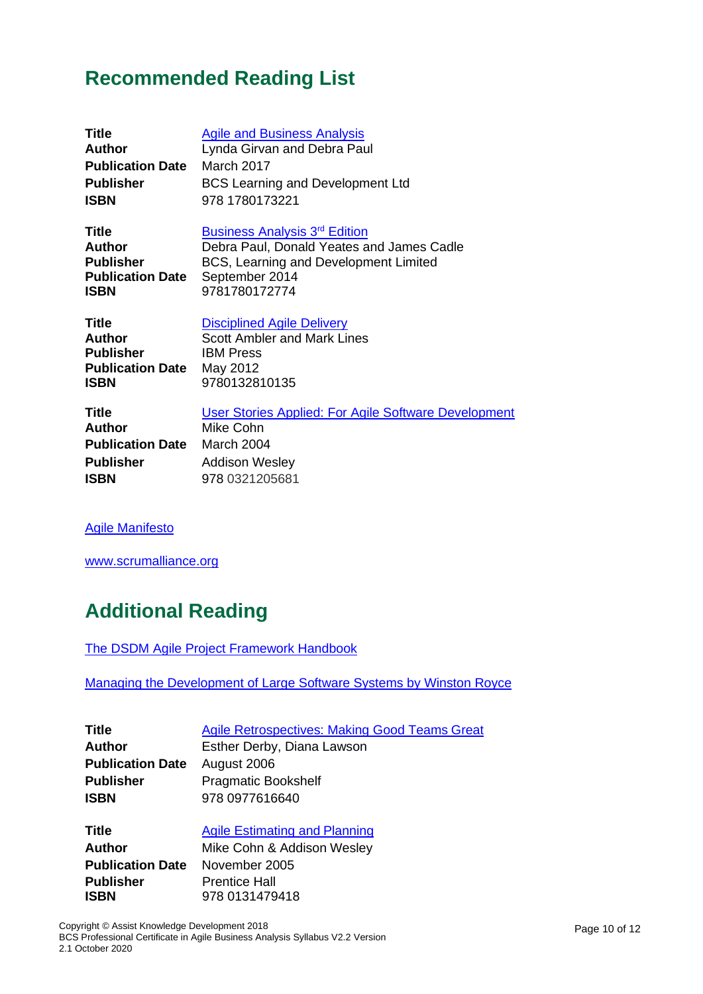## **Recommended Reading List**

| <b>Title</b>            | <b>Agile and Business Analysis</b>                   |
|-------------------------|------------------------------------------------------|
| Author                  | Lynda Girvan and Debra Paul                          |
| <b>Publication Date</b> | March 2017                                           |
| <b>Publisher</b>        | <b>BCS Learning and Development Ltd</b>              |
| <b>ISBN</b>             | 978 1780173221                                       |
| Title                   | Business Analysis 3 <sup>rd</sup> Edition            |
| <b>Author</b>           | Debra Paul, Donald Yeates and James Cadle            |
| <b>Publisher</b>        | BCS, Learning and Development Limited                |
| <b>Publication Date</b> | September 2014                                       |
| <b>ISBN</b>             | 9781780172774                                        |
| <b>Title</b>            | <b>Disciplined Agile Delivery</b>                    |
| Author                  | <b>Scott Ambler and Mark Lines</b>                   |
| <b>Publisher</b>        | <b>IBM Press</b>                                     |
| <b>Publication Date</b> | May 2012                                             |
| <b>ISBN</b>             | 9780132810135                                        |
| <b>Title</b>            | User Stories Applied: For Agile Software Development |
| <b>Author</b>           | Mike Cohn                                            |
| <b>Publication Date</b> | March 2004                                           |
| <b>Publisher</b>        | <b>Addison Wesley</b>                                |
| <b>ISBN</b>             | 978 0321205681                                       |

#### [Agile Manifesto](http://www.agilemanifesto.org/)

[www.scrumalliance.org](http://www.scrumalliance.org/)

## **Additional Reading**

[The DSDM Agile Project Framework Handbook](https://www.agilebusiness.org/shop/books/the-dsdm-agile-project-framework-handbook)

[Managing the Development of Large Software Systems by Winston Royce](http://leadinganswers.typepad.com/leading_answers/files/original_waterfall_paper_winston_royce.pdf)

| <b>Title</b>            | <b>Agile Retrospectives: Making Good Teams Great</b> |
|-------------------------|------------------------------------------------------|
| <b>Author</b>           | Esther Derby, Diana Lawson                           |
| <b>Publication Date</b> | August 2006                                          |
| <b>Publisher</b>        | <b>Pragmatic Bookshelf</b>                           |
| <b>ISBN</b>             | 978 0977616640                                       |
|                         |                                                      |
| <b>Title</b>            | <b>Agile Estimating and Planning</b>                 |
| <b>Author</b>           | Mike Cohn & Addison Wesley                           |
| <b>Publication Date</b> | November 2005                                        |
| <b>Publisher</b>        | <b>Prentice Hall</b>                                 |

**ISBN** 978 0131479418